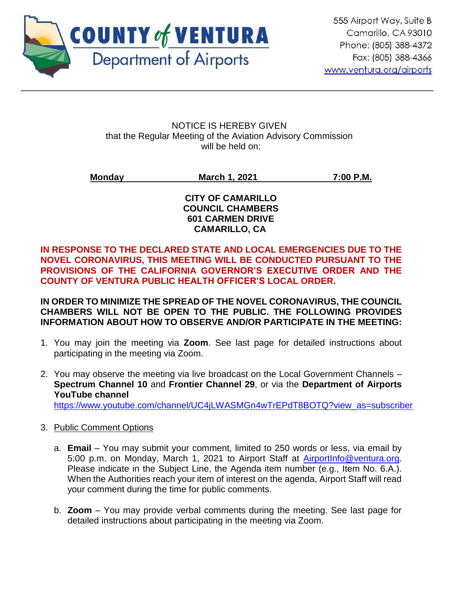

NOTICE IS HEREBY GIVEN that the Regular Meeting of the Aviation Advisory Commission will be held on:

**Monday March 1, 2021 7:00 P.M.**

#### **CITY OF CAMARILLO COUNCIL CHAMBERS 601 CARMEN DRIVE CAMARILLO, CA**

**IN RESPONSE TO THE DECLARED STATE AND LOCAL EMERGENCIES DUE TO THE NOVEL CORONAVIRUS, THIS MEETING WILL BE CONDUCTED PURSUANT TO THE PROVISIONS OF THE CALIFORNIA GOVERNOR'S EXECUTIVE ORDER AND THE COUNTY OF VENTURA PUBLIC HEALTH OFFICER'S LOCAL ORDER.**

**IN ORDER TO MINIMIZE THE SPREAD OF THE NOVEL CORONAVIRUS, THE COUNCIL CHAMBERS WILL NOT BE OPEN TO THE PUBLIC. THE FOLLOWING PROVIDES INFORMATION ABOUT HOW TO OBSERVE AND/OR PARTICIPATE IN THE MEETING:** 

- 1. You may join the meeting via **Zoom**. See last page for detailed instructions about participating in the meeting via Zoom.
- 2. You may observe the meeting via live broadcast on the Local Government Channels **Spectrum Channel 10** and **Frontier Channel 29**, or via the **Department of Airports YouTube channel** [https://www.youtube.com/channel/UC4jLWASMGn4wTrEPdT8BOTQ?view\\_as=subscriber](https://www.youtube.com/channel/UC4jLWASMGn4wTrEPdT8BOTQ?view_as=subscriber)

# 3. Public Comment Options

- a. **Email** You may submit your comment, limited to 250 words or less, via email by 5:00 p.m. on Monday, March 1, 2021 to Airport Staff at [AirportInfo@ventura.org.](mailto:AirportInfo@ventura.org) Please indicate in the Subject Line, the Agenda item number (e.g., Item No. 6.A.). When the Authorities reach your item of interest on the agenda, Airport Staff will read your comment during the time for public comments.
- b. **Zoom** You may provide verbal comments during the meeting. See last page for detailed instructions about participating in the meeting via Zoom.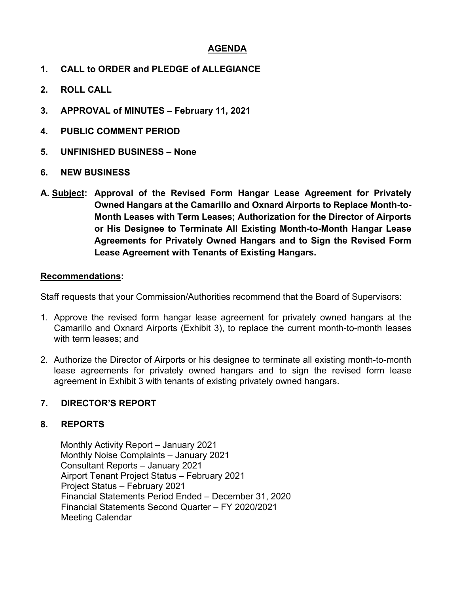# **AGENDA**

- **1. CALL to ORDER and PLEDGE of ALLEGIANCE**
- **2. ROLL CALL**
- **3. APPROVAL of MINUTES February 11, 2021**
- **4. PUBLIC COMMENT PERIOD**
- **5. UNFINISHED BUSINESS None**
- **6. NEW BUSINESS**
- **A. Subject: Approval of the Revised Form Hangar Lease Agreement for Privately Owned Hangars at the Camarillo and Oxnard Airports to Replace Month-to-Month Leases with Term Leases; Authorization for the Director of Airports or His Designee to Terminate All Existing Month-to-Month Hangar Lease Agreements for Privately Owned Hangars and to Sign the Revised Form Lease Agreement with Tenants of Existing Hangars.**

#### **Recommendations:**

Staff requests that your Commission/Authorities recommend that the Board of Supervisors:

- 1. Approve the revised form hangar lease agreement for privately owned hangars at the Camarillo and Oxnard Airports (Exhibit 3), to replace the current month-to-month leases with term leases; and
- 2. Authorize the Director of Airports or his designee to terminate all existing month-to-month lease agreements for privately owned hangars and to sign the revised form lease agreement in Exhibit 3 with tenants of existing privately owned hangars.

#### **7. DIRECTOR'S REPORT**

#### **8. REPORTS**

Monthly Activity Report – January 2021 Monthly Noise Complaints – January 2021 Consultant Reports – January 2021 Airport Tenant Project Status – February 2021 Project Status – February 2021 Financial Statements Period Ended – December 31, 2020 Financial Statements Second Quarter – FY 2020/2021 Meeting Calendar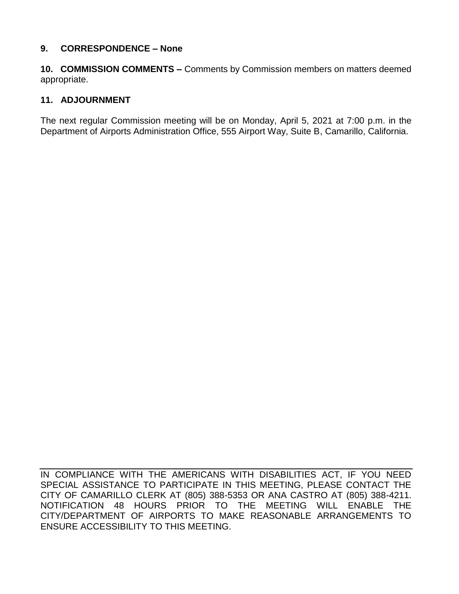### **9. CORRESPONDENCE – None**

**10. COMMISSION COMMENTS –** Comments by Commission members on matters deemed appropriate.

#### **11. ADJOURNMENT**

The next regular Commission meeting will be on Monday, April 5, 2021 at 7:00 p.m. in the Department of Airports Administration Office, 555 Airport Way, Suite B, Camarillo, California.

IN COMPLIANCE WITH THE AMERICANS WITH DISABILITIES ACT, IF YOU NEED SPECIAL ASSISTANCE TO PARTICIPATE IN THIS MEETING, PLEASE CONTACT THE CITY OF CAMARILLO CLERK AT (805) 388-5353 OR ANA CASTRO AT (805) 388-4211. NOTIFICATION 48 HOURS PRIOR TO THE MEETING WILL ENABLE THE CITY/DEPARTMENT OF AIRPORTS TO MAKE REASONABLE ARRANGEMENTS TO ENSURE ACCESSIBILITY TO THIS MEETING.